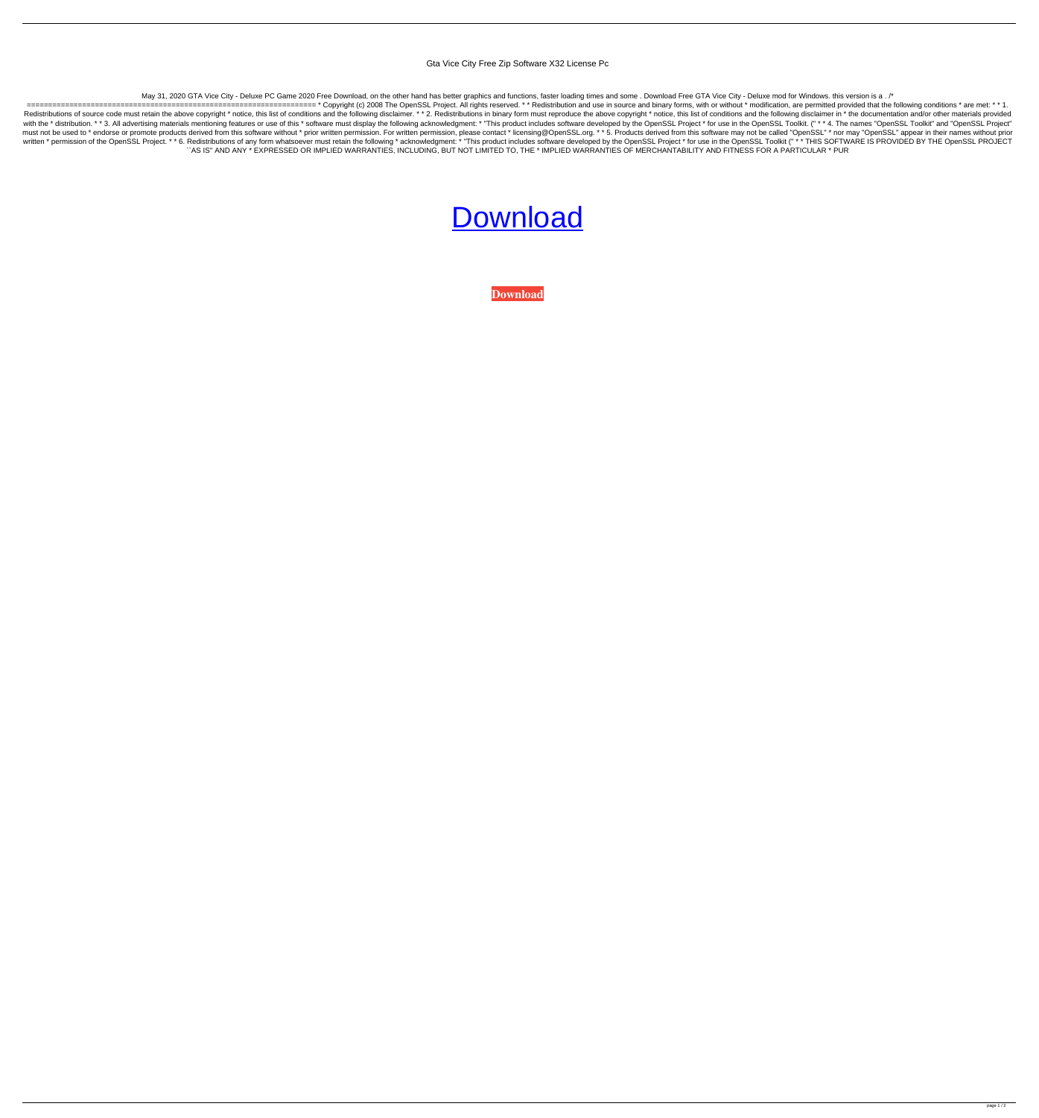Gta Vice City Free Zip Software X32 License Pc

May 31, 2020 GTA Vice City - Deluxe PC Game 2020 Free Download, on the other hand has better graphics and functions, faster loading times and some. Download Free GTA Vice City - Deluxe mod for Windows. this version is a. /

==================================================================== \* Copyright (c) 2008 The OpenSSL Project. All rights reserved. \* \* Redistribution and use in source and binary forms, with or without \* modification, are permitted provided that the following conditions \* are met: \* \* 1. Redistributions of source code must retain the above copyright \* notice, this list of conditions and the following disclaimer. \* \* 2. Redistributions in binary form must reproduce the above copyright \* notice, this list of with the \* distribution. \* \* 3. All advertising materials mentioning features or use of this \* software must display the following acknowledgment: \* "This product includes software developed by the OpenSSL Project \* for us must not be used to \* endorse or promote products derived from this software without \* prior written permission. For written permission, please contact \* licensing@OpenSSL.org. \* \* 5. Products derived from this software ma written \* permission of the OpenSSL Project. \* \* 6. Redistributions of any form whatsoever must retain the following \* acknowledgment: \* "This product includes software developed by the OpenSSL Project \* for use in the Ope ``AS IS'' AND ANY \* EXPRESSED OR IMPLIED WARRANTIES, INCLUDING, BUT NOT LIMITED TO, THE \* IMPLIED WARRANTIES OF MERCHANTABILITY AND FITNESS FOR A PARTICULAR \* PUR

## **[Download](http://evacdir.com/arives/pastiche/benz/ZG93bmxvYWR8QXEyTW1NMFpueDhNVFkxTWpjME1EZzJObng4TWpVM05IeDhLRTBwSUhKbFlXUXRZbXh2WnlCYlJtRnpkQ0JIUlU1ZA/filmmaker/Z3RhIHZpY2UgY2l0eSBkZWx1eGUgZnVsbCB2ZXJzaW9uIHBjIGRvd25sb2FkZ3R.flavoured?philosophy=)**

**[Download](http://evacdir.com/arives/pastiche/benz/ZG93bmxvYWR8QXEyTW1NMFpueDhNVFkxTWpjME1EZzJObng4TWpVM05IeDhLRTBwSUhKbFlXUXRZbXh2WnlCYlJtRnpkQ0JIUlU1ZA/filmmaker/Z3RhIHZpY2UgY2l0eSBkZWx1eGUgZnVsbCB2ZXJzaW9uIHBjIGRvd25sb2FkZ3R.flavoured?philosophy=)**